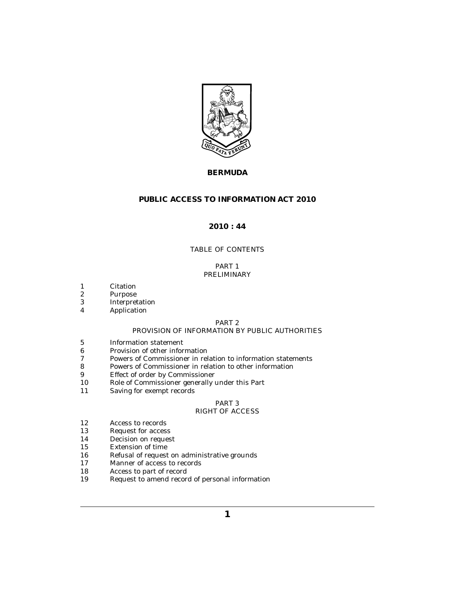

# **BERMUDA**

# **PUBLIC ACCESS TO INFORMATION ACT 2010**

# **2010 : 44**

# TABLE OF CONTENTS

# PART 1 [PRELIMINARY](#page-2-0)

- [Citation](#page-2-0) 1
- [Purpose](#page-2-0) 2
- [Interpretation](#page-2-0) 3
- [Application](#page-3-0) 4

# PART 2

# [PROVISION OF INFORMATION BY PUBLIC AUTHORITIES](#page-4-0)

- [Information statement](#page-4-0) 5
- [Provision of other information](#page-5-0) 6
- [Powers of Commissioner in relation to information statements](#page-6-0) 7
- [Powers of Commissioner in relation to other information](#page-6-0) 8
- [Effect of order by Commissioner](#page-6-0) 9
- [Role of Commissioner generally under this Part](#page-6-0) 10
- [Saving for exempt records](#page-6-0) 11

# PART 3

# [RIGHT OF ACCESS](#page-7-0)

- [Access to records](#page-7-0) 12
- [Request for access](#page-7-0) 13
- [Decision on request](#page-8-0) 14
- [Extension of time](#page-8-0) 15
- [Refusal of request on administrative grounds](#page-9-0) 16
- [Manner of access to records](#page-9-0) 17
- [Access to part of record](#page-10-0) 18
- [Request to amend record of personal information](#page-11-0) 19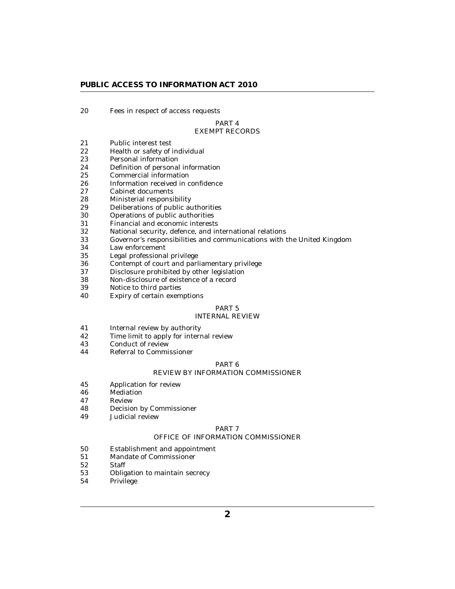[Fees in respect of access requests](#page-12-0) 20

## PART 4 [EXEMPT RECORDS](#page-12-0)

- [Public interest test](#page-12-0) 21
- [Health or safety of individual](#page-12-0) 22
- [Personal information](#page-12-0) 23
- [Definition of personal information](#page-13-0) 24
- [Commercial information](#page-14-0) 25
- [Information received in confidence](#page-14-0) 26
- [Cabinet documents](#page-15-0) 27
- [Ministerial responsibility](#page-15-0) 28
- [Deliberations of public authorities](#page-15-0) 29
- [Operations of public authorities](#page-16-0) 30
- [Financial and economic interests](#page-16-0) 31
- [National security, defence, and international relations](#page-16-0) 32
- [Governor's responsibilities and communications with the United Kingdom](#page-17-0) 33
- [Law enforcement](#page-17-0) 34
- [Legal professional privilege](#page-18-0) 35
- [Contempt of court and parliamentary privilege](#page-18-0) 36
- [Disclosure prohibited by other legislation](#page-18-0) 37
- [Non-disclosure of existence of a record](#page-19-0) 38
- [Notice to third parties](#page-19-0) 39
- [Expiry of certain exemptions](#page-19-0) 40

#### PART 5 [INTERNAL REVIEW](#page-20-0)

- 
- [Internal review by authority](#page-20-0) 41
- [Time limit to apply for internal review](#page-20-0) 42
- [Conduct of review](#page-20-0) 43
- [Referral to Commissioner](#page-21-0) 44

#### PART 6

# [REVIEW BY INFORMATION COMMISSIONER](#page-21-0)

- [Application for review](#page-21-0) 45
- [Mediation](#page-21-0) 46
- [Review](#page-22-0) 47
- [Decision by Commissioner](#page-22-0) 48
- [Judicial review](#page-22-0) 49

## PART 7

# [OFFICE OF INFORMATION COMMISSIONER](#page-23-0)

- [Establishment and appointment](#page-23-0) 50
- [Mandate of Commissioner](#page-23-0) 51
- [Staff](#page-23-0) 52
- [Obligation to maintain secrecy](#page-24-0) 53
- [Privilege](#page-24-0) 54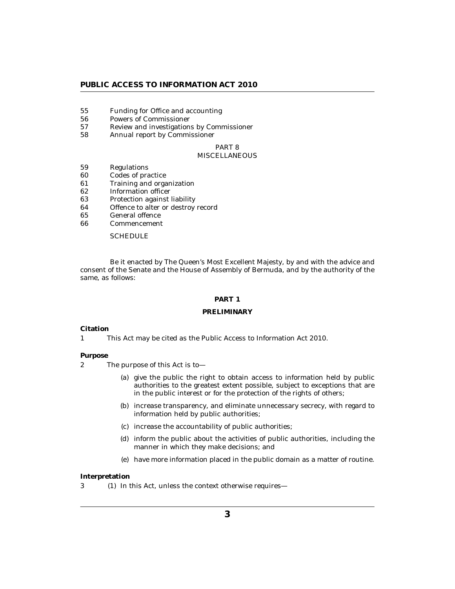- <span id="page-2-0"></span>[Funding for Office and accounting](#page-24-0) 55
- [Powers of Commissioner](#page-24-0) 56
- [Review and investigations by Commissioner](#page-25-0) 57
- [Annual report by Commissioner](#page-26-0) 58

## PART 8 **[MISCELLANEOUS](#page-26-0)**

- [Regulations](#page-26-0) 59
- [Codes of practice](#page-27-0) 60
- [Training and organization](#page-27-0) 61
- [Information officer](#page-27-0) 62
- [Protection against liability](#page-27-0) 63
- [Offence to alter or destroy record](#page-27-0) 64
- [General offence](#page-27-0) 65
- [Commencement](#page-27-0) 66

### **[SCHEDULE](#page-28-0)**

Be it enacted by The Queen's Most Excellent Majesty, by and with the advice and consent of the Senate and the House of Assembly of Bermuda, and by the authority of the same, as follows:

# **PART 1**

### **PRELIMINARY**

### **Citation**

This Act may be cited as the Public Access to Information Act 2010. 1

#### **Purpose**

- The purpose of this Act is to— 2
	- (a) give the public the right to obtain access to information held by public authorities to the greatest extent possible, subject to exceptions that are in the public interest or for the protection of the rights of others;
	- (b) increase transparency, and eliminate unnecessary secrecy, with regard to information held by public authorities;
	- (c) increase the accountability of public authorities;
	- (d) inform the public about the activities of public authorities, including the manner in which they make decisions; and
	- have more information placed in the public domain as a matter of routine. (e)

#### **Interpretation**

3 (1) In this Act, unless the context otherwise requires—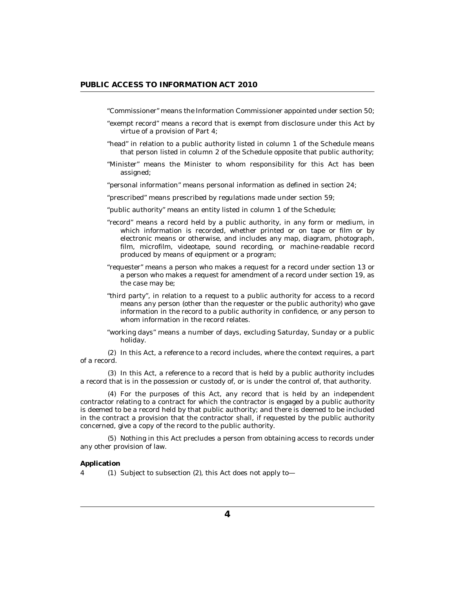<span id="page-3-0"></span>"Commissioner" means the Information Commissioner appointed under section 50;

- "exempt record" means a record that is exempt from disclosure under this Act by virtue of a provision of Part 4;
- "head" in relation to a public authority listed in column 1 of the Schedule means that person listed in column 2 of the Schedule opposite that public authority;
- "Minister" means the Minister to whom responsibility for this Act has been assigned;
- "personal information" means personal information as defined in section 24;
- "prescribed" means prescribed by regulations made under section 59;
- "public authority" means an entity listed in column 1 of the Schedule;
- "record" means a record held by a public authority, in any form or medium, in which information is recorded, whether printed or on tape or film or by electronic means or otherwise, and includes any map, diagram, photograph, film, microfilm, videotape, sound recording, or machine-readable record produced by means of equipment or a program;
- "requester" means a person who makes a request for a record under section 13 or a person who makes a request for amendment of a record under section 19, as the case may be;
- "third party", in relation to a request to a public authority for access to a record means any person (other than the requester or the public authority) who gave information in the record to a public authority in confidence, or any person to whom information in the record relates.
- "working days" means a number of days, excluding Saturday, Sunday or a public holiday.

 $(2)$  In this Act, a reference to a record includes, where the context requires, a part of a record.

(3) In this Act, a reference to a record that is held by a public authority includes a record that is in the possession or custody of, or is under the control of, that authority.

For the purposes of this Act, any record that is held by an independent (4) contractor relating to a contract for which the contractor is engaged by a public authority is deemed to be a record held by that public authority; and there is deemed to be included in the contract a provision that the contractor shall, if requested by the public authority concerned, give a copy of the record to the public authority.

(5) Nothing in this Act precludes a person from obtaining access to records under any other provision of law.

### **Application**

4 (1) Subject to subsection (2), this Act does not apply to-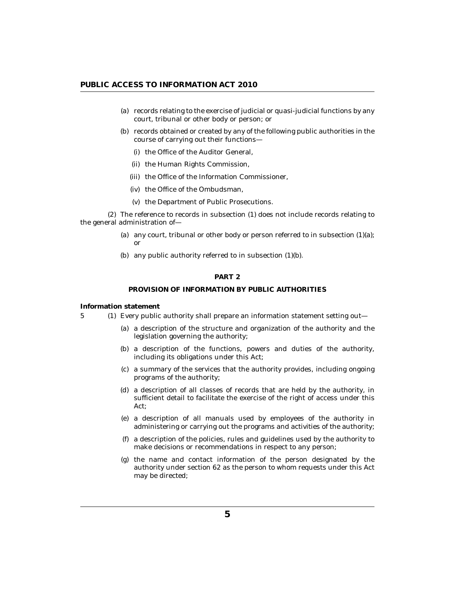- <span id="page-4-0"></span>(a) records relating to the exercise of judicial or quasi-judicial functions by any court, tribunal or other body or person; or
- (b) records obtained or created by any of the following public authorities in the course of carrying out their functions—
	- (i) the Office of the Auditor General,
	- (ii) the Human Rights Commission,
	- (iii) the Office of the Information Commissioner,
	- (iv) the Office of the Ombudsman,
	- (v) the Department of Public Prosecutions.

The reference to records in subsection (1) does not include records relating to (2) the general administration of—

- (a) any court, tribunal or other body or person referred to in subsection  $(1)(a)$ ; or
- (b) any public authority referred to in subsection  $(1)(b)$ .

## **PART 2**

## **PROVISION OF INFORMATION BY PUBLIC AUTHORITIES**

**Information statement**

- Every public authority shall prepare an information statement setting out— 5 (1)
	- (a) a description of the structure and organization of the authority and the legislation governing the authority;
	- (b) a description of the functions, powers and duties of the authority, including its obligations under this Act;
	- a summary of the services that the authority provides, including ongoing (c) programs of the authority;
	- a description of all classes of records that are held by the authority, in (d) sufficient detail to facilitate the exercise of the right of access under this Act;
	- a description of all manuals used by employees of the authority in (e) administering or carrying out the programs and activities of the authority;
	- a description of the policies, rules and guidelines used by the authority to (f) make decisions or recommendations in respect to any person;
	- (g) the name and contact information of the person designated by the authority under section 62 as the person to whom requests under this Act may be directed;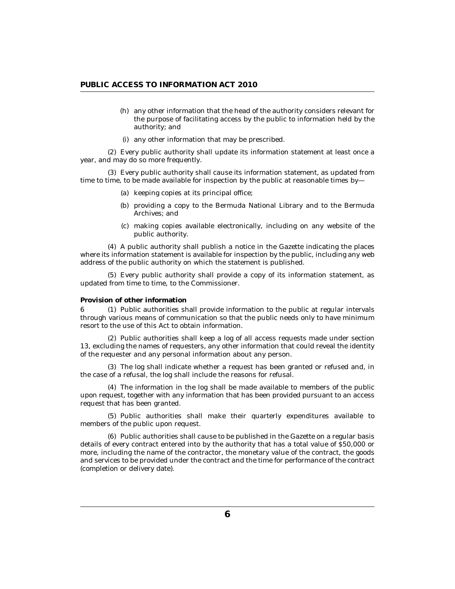- <span id="page-5-0"></span>any other information that the head of the authority considers relevant for (h) the purpose of facilitating access by the public to information held by the authority; and
- (i) any other information that may be prescribed.

Every public authority shall update its information statement at least once a (2) year, and may do so more frequently.

Every public authority shall cause its information statement, as updated from (3) time to time, to be made available for inspection by the public at reasonable times by—

- (a) keeping copies at its principal office;
- (b) providing a copy to the Bermuda National Library and to the Bermuda Archives; and
- making copies available electronically, including on any website of the (c) public authority.

A public authority shall publish a notice in the Gazette indicating the places (4) where its information statement is available for inspection by the public, including any web address of the public authority on which the statement is published.

Every public authority shall provide a copy of its information statement, as (5) updated from time to time, to the Commissioner.

### **Provision of other information**

6 (1) Public authorities shall provide information to the public at regular intervals through various means of communication so that the public needs only to have minimum resort to the use of this Act to obtain information.

Public authorities shall keep a log of all access requests made under section (2) 13, excluding the names of requesters, any other information that could reveal the identity of the requester and any personal information about any person.

The log shall indicate whether a request has been granted or refused and, in (3) the case of a refusal, the log shall include the reasons for refusal.

The information in the log shall be made available to members of the public (4) upon request, together with any information that has been provided pursuant to an access request that has been granted.

(5) Public authorities shall make their quarterly expenditures available to members of the public upon request.

Public authorities shall cause to be published in the Gazette on a regular basis (6) details of every contract entered into by the authority that has a total value of \$50,000 or more, including the name of the contractor, the monetary value of the contract, the goods and services to be provided under the contract and the time for performance of the contract (completion or delivery date).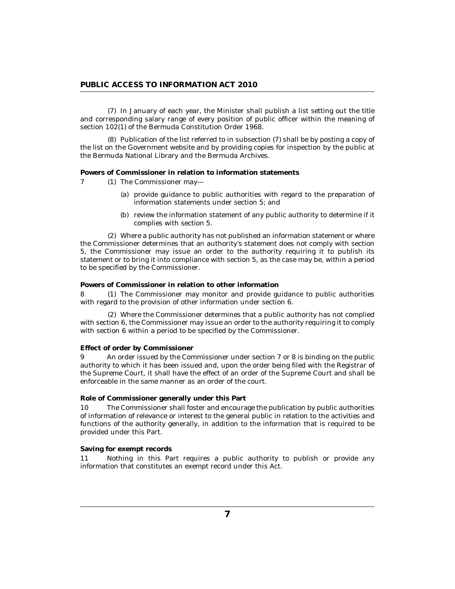<span id="page-6-0"></span>(7) In January of each year, the Minister shall publish a list setting out the title and corresponding salary range of every position of public officer within the meaning of section 102(1) of the Bermuda Constitution Order 1968.

 $(8)$  Publication of the list referred to in subsection  $(7)$  shall be by posting a copy of the list on the Government website and by providing copies for inspection by the public at the Bermuda National Library and the Bermuda Archives.

**Powers of Commissioner in relation to information statements**

- 7 (1) The Commissioner may—
	- (a) provide guidance to public authorities with regard to the preparation of information statements under section 5; and
	- (b) review the information statement of any public authority to determine if it complies with section 5.

Where a public authority has not published an information statement or where (2) the Commissioner determines that an authority's statement does not comply with section 5, the Commissioner may issue an order to the authority requiring it to publish its statement or to bring it into compliance with section 5, as the case may be, within a period to be specified by the Commissioner.

### **Powers of Commissioner in relation to other information**

8 (1) The Commissioner may monitor and provide guidance to public authorities with regard to the provision of other information under section 6.

Where the Commissioner determines that a public authority has not complied (2) with section 6, the Commissioner may issue an order to the authority requiring it to comply with section 6 within a period to be specified by the Commissioner.

### **Effect of order by Commissioner**

An order issued by the Commissioner under section 7 or 8 is binding on the public authority to which it has been issued and, upon the order being filed with the Registrar of the Supreme Court, it shall have the effect of an order of the Supreme Court and shall be enforceable in the same manner as an order of the court. 9

### **Role of Commissioner generally under this Part**

The Commissioner shall foster and encourage the publication by public authorities of information of relevance or interest to the general public in relation to the activities and functions of the authority generally, in addition to the information that is required to be provided under this Part. 10

## **Saving for exempt records**

Nothing in this Part requires a public authority to publish or provide any information that constitutes an exempt record under this Act. 11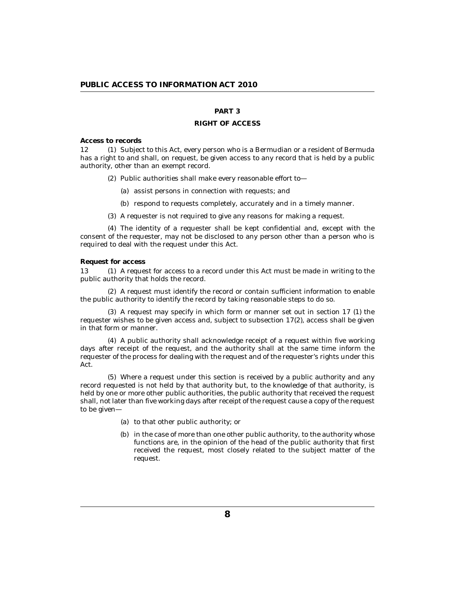# **PART 3**

### **RIGHT OF ACCESS**

<span id="page-7-0"></span>**Access to records**

12 (1) Subject to this Act, every person who is a Bermudian or a resident of Bermuda has a right to and shall, on request, be given access to any record that is held by a public authority, other than an exempt record.

Public authorities shall make every reasonable effort to— (2)

- (a) assist persons in connection with requests; and
- (b) respond to requests completely, accurately and in a timely manner.
- (3) A requester is not required to give any reasons for making a request.

The identity of a requester shall be kept confidential and, except with the (4) consent of the requester, may not be disclosed to any person other than a person who is required to deal with the request under this Act.

**Request for access**

13 (1) A request for access to a record under this Act must be made in writing to the public authority that holds the record.

A request must identify the record or contain sufficient information to enable (2) the public authority to identify the record by taking reasonable steps to do so.

(3) A request may specify in which form or manner set out in section 17 (1) the requester wishes to be given access and, subject to subsection 17(2), access shall be given in that form or manner.

A public authority shall acknowledge receipt of a request within five working (4) days after receipt of the request, and the authority shall at the same time inform the requester of the process for dealing with the request and of the requester's rights under this Act.

Where a request under this section is received by a public authority and any (5) record requested is not held by that authority but, to the knowledge of that authority, is held by one or more other public authorities, the public authority that received the request shall, not later than five working days after receipt of the request cause a copy of the request to be given—

- (a) to that other public authority; or
- (b) in the case of more than one other public authority, to the authority whose functions are, in the opinion of the head of the public authority that first received the request, most closely related to the subject matter of the request.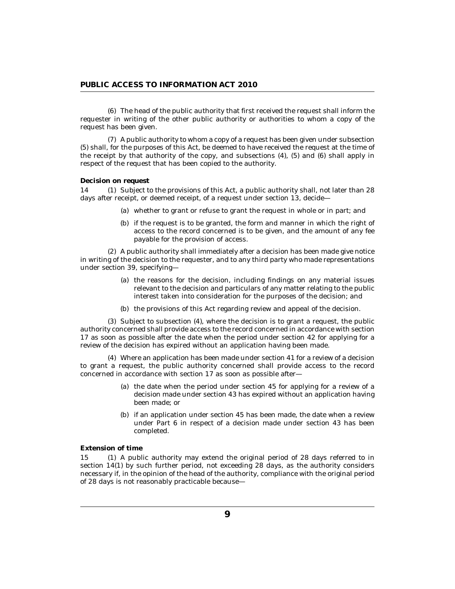<span id="page-8-0"></span>The head of the public authority that first received the request shall inform the (6) requester in writing of the other public authority or authorities to whom a copy of the request has been given.

(7) A public authority to whom a copy of a request has been given under subsection (5) shall, for the purposes of this Act, be deemed to have received the request at the time of the receipt by that authority of the copy, and subsections (4), (5) and (6) shall apply in respect of the request that has been copied to the authority.

### **Decision on request**

Subject to the provisions of this Act, a public authority shall, not later than 28 14 (1) days after receipt, or deemed receipt, of a request under section 13, decide—

- (a) whether to grant or refuse to grant the request in whole or in part; and
- (b) if the request is to be granted, the form and manner in which the right of access to the record concerned is to be given, and the amount of any fee payable for the provision of access.

A public authority shall immediately after a decision has been made give notice (2) in writing of the decision to the requester, and to any third party who made representations under section 39, specifying—

- (a) the reasons for the decision, including findings on any material issues relevant to the decision and particulars of any matter relating to the public interest taken into consideration for the purposes of the decision; and
- (b) the provisions of this Act regarding review and appeal of the decision.

 $(3)$  Subject to subsection  $(4)$ , where the decision is to grant a request, the public authority concerned shall provide access to the record concerned in accordance with section 17 as soon as possible after the date when the period under section 42 for applying for a review of the decision has expired without an application having been made.

Where an application has been made under section 41 for a review of a decision (4) to grant a request, the public authority concerned shall provide access to the record concerned in accordance with section 17 as soon as possible after—

- (a) the date when the period under section  $45$  for applying for a review of a decision made under section 43 has expired without an application having been made; or
- (b) if an application under section 45 has been made, the date when a review under Part 6 in respect of a decision made under section 43 has been completed.

## **Extension of time**

15 (1) A public authority may extend the original period of 28 days referred to in section 14(1) by such further period, not exceeding 28 days, as the authority considers necessary if, in the opinion of the head of the authority, compliance with the original period of 28 days is not reasonably practicable because—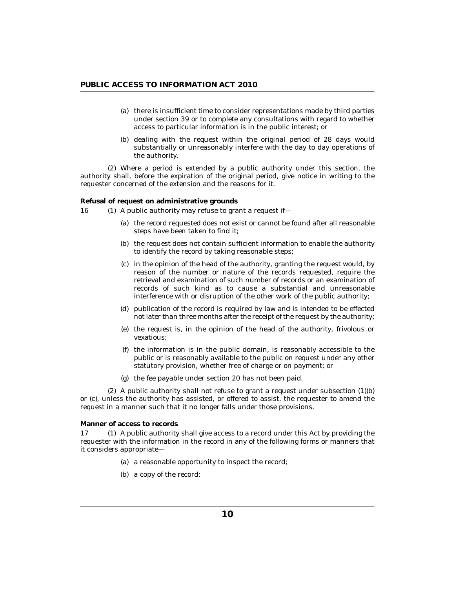- <span id="page-9-0"></span>(a) there is insufficient time to consider representations made by third parties under section 39 or to complete any consultations with regard to whether access to particular information is in the public interest; or
- (b) dealing with the request within the original period of 28 days would substantially or unreasonably interfere with the day to day operations of the authority.

Where a period is extended by a public authority under this section, the (2) authority shall, before the expiration of the original period, give notice in writing to the requester concerned of the extension and the reasons for it.

**Refusal of request on administrative grounds**

- 16 (1) A public authority may refuse to grant a request if-
	- (a) the record requested does not exist or cannot be found after all reasonable steps have been taken to find it;
	- (b) the request does not contain sufficient information to enable the authority to identify the record by taking reasonable steps;
	- (c) in the opinion of the head of the authority, granting the request would, by reason of the number or nature of the records requested, require the retrieval and examination of such number of records or an examination of records of such kind as to cause a substantial and unreasonable interference with or disruption of the other work of the public authority;
	- (d) publication of the record is required by law and is intended to be effected not later than three months after the receipt of the request by the authority;
	- (e) the request is, in the opinion of the head of the authority, frivolous or vexatious;
	- $(f)$  the information is in the public domain, is reasonably accessible to the public or is reasonably available to the public on request under any other statutory provision, whether free of charge or on payment; or
	- (g) the fee payable under section 20 has not been paid.

 $(2)$  A public authority shall not refuse to grant a request under subsection  $(1)(b)$ or (c), unless the authority has assisted, or offered to assist, the requester to amend the request in a manner such that it no longer falls under those provisions.

**Manner of access to records**

17 (1) A public authority shall give access to a record under this Act by providing the requester with the information in the record in any of the following forms or manners that it considers appropriate—

- (a) a reasonable opportunity to inspect the record;
- (b) a copy of the record;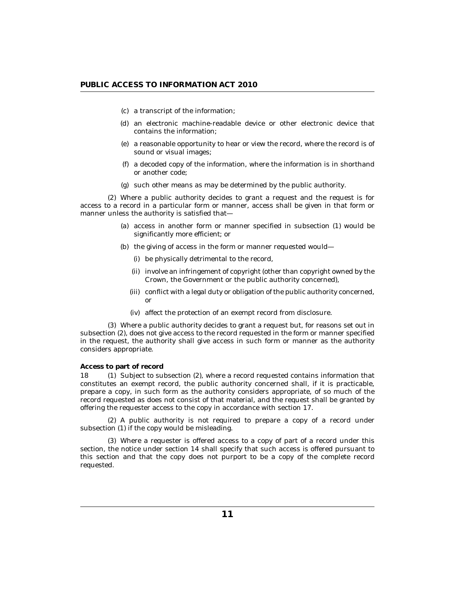- <span id="page-10-0"></span>a transcript of the information; (c)
- (d) an electronic machine-readable device or other electronic device that contains the information;
- a reasonable opportunity to hear or view the record, where the record is of (e) sound or visual images;
- a decoded copy of the information, where the information is in shorthand (f) or another code;
- (g) such other means as may be determined by the public authority.

Where a public authority decides to grant a request and the request is for (2) access to a record in a particular form or manner, access shall be given in that form or manner unless the authority is satisfied that—

- (a) access in another form or manner specified in subsection (1) would be significantly more efficient; or
- (b) the giving of access in the form or manner requested would
	- be physically detrimental to the record, (i)
	- (ii) involve an infringement of copyright (other than copyright owned by the Crown, the Government or the public authority concerned),
	- (iii) conflict with a legal duty or obligation of the public authority concerned, or
	- affect the protection of an exempt record from disclosure. (iv)

Where a public authority decides to grant a request but, for reasons set out in (3) subsection (2), does not give access to the record requested in the form or manner specified in the request, the authority shall give access in such form or manner as the authority considers appropriate.

#### **Access to part of record**

18 (1) Subject to subsection (2), where a record requested contains information that constitutes an exempt record, the public authority concerned shall, if it is practicable, prepare a copy, in such form as the authority considers appropriate, of so much of the record requested as does not consist of that material, and the request shall be granted by offering the requester access to the copy in accordance with section 17.

(2) A public authority is not required to prepare a copy of a record under subsection (1) if the copy would be misleading.

Where a requester is offered access to a copy of part of a record under this (3) section, the notice under section 14 shall specify that such access is offered pursuant to this section and that the copy does not purport to be a copy of the complete record requested.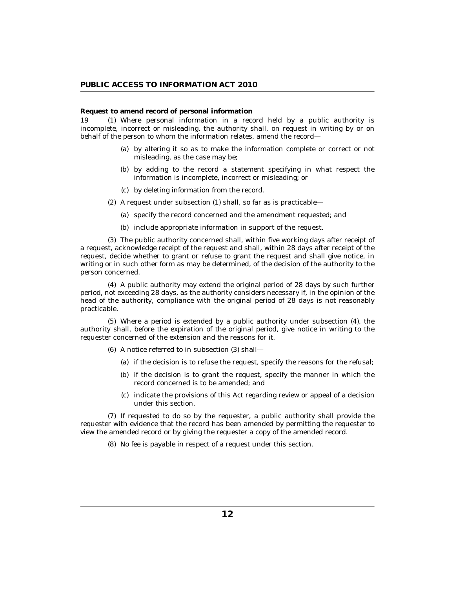## <span id="page-11-0"></span>**Request to amend record of personal information**

Where personal information in a record held by a public authority is incomplete, incorrect or misleading, the authority shall, on request in writing by or on behalf of the person to whom the information relates, amend the record— 19 (1)

- (a) by altering it so as to make the information complete or correct or not misleading, as the case may be;
- by adding to the record a statement specifying in what respect the (b) information is incomplete, incorrect or misleading; or
- by deleting information from the record. (c)
- (2) A request under subsection (1) shall, so far as is practicable—
	- (a) specify the record concerned and the amendment requested; and
	- (b) include appropriate information in support of the request.

The public authority concerned shall, within five working days after receipt of (3) a request, acknowledge receipt of the request and shall, within 28 days after receipt of the request, decide whether to grant or refuse to grant the request and shall give notice, in writing or in such other form as may be determined, of the decision of the authority to the person concerned.

A public authority may extend the original period of 28 days by such further (4) period, not exceeding 28 days, as the authority considers necessary if, in the opinion of the head of the authority, compliance with the original period of 28 days is not reasonably practicable.

Where a period is extended by a public authority under subsection (4), the (5) authority shall, before the expiration of the original period, give notice in writing to the requester concerned of the extension and the reasons for it.

- A notice referred to in subsection (3) shall— (6)
	- (a) if the decision is to refuse the request, specify the reasons for the refusal;
	- (b) if the decision is to grant the request, specify the manner in which the record concerned is to be amended; and
	- (c) indicate the provisions of this Act regarding review or appeal of a decision under this section.

If requested to do so by the requester, a public authority shall provide the (7) requester with evidence that the record has been amended by permitting the requester to view the amended record or by giving the requester a copy of the amended record.

No fee is payable in respect of a request under this section. (8)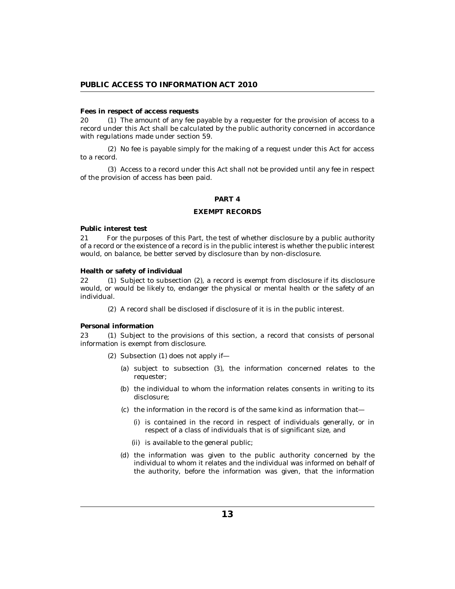#### <span id="page-12-0"></span>**Fees in respect of access requests**

20 (1) The amount of any fee payable by a requester for the provision of access to a record under this Act shall be calculated by the public authority concerned in accordance with regulations made under section 59.

No fee is payable simply for the making of a request under this Act for access (2) to a record.

(3) Access to a record under this Act shall not be provided until any fee in respect of the provision of access has been paid.

## **PART 4**

#### **EXEMPT RECORDS**

**Public interest test**

For the purposes of this Part, the test of whether disclosure by a public authority of a record or the existence of a record is in the public interest is whether the public interest would, on balance, be better served by disclosure than by non-disclosure. 21

**Health or safety of individual**

 $(1)$  Subject to subsection  $(2)$ , a record is exempt from disclosure if its disclosure would, or would be likely to, endanger the physical or mental health or the safety of an individual.  $22 \,$ 

A record shall be disclosed if disclosure of it is in the public interest. (2)

# **Personal information**

23 (1) Subject to the provisions of this section, a record that consists of personal information is exempt from disclosure.

- $(2)$  Subsection  $(1)$  does not apply if-
	- (a) subject to subsection (3), the information concerned relates to the requester;
	- (b) the individual to whom the information relates consents in writing to its disclosure;
	- $\alpha$  the information in the record is of the same kind as information that
		- is contained in the record in respect of individuals generally, or in (i) respect of a class of individuals that is of significant size, and
		- (ii) is available to the general public;
	- (d) the information was given to the public authority concerned by the individual to whom it relates and the individual was informed on behalf of the authority, before the information was given, that the information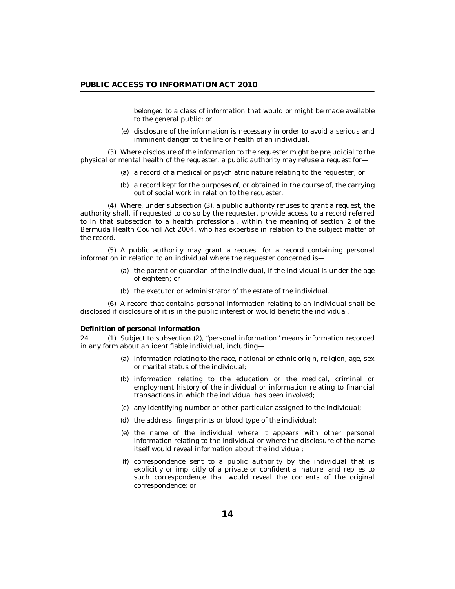belonged to a class of information that would or might be made available to the general public; or

(e) disclosure of the information is necessary in order to avoid a serious and imminent danger to the life or health of an individual.

<span id="page-13-0"></span>Where disclosure of the information to the requester might be prejudicial to the (3) physical or mental health of the requester, a public authority may refuse a request for—

- (a) a record of a medical or psychiatric nature relating to the requester; or
- (b) a record kept for the purposes of, or obtained in the course of, the carrying out of social work in relation to the requester.

Where, under subsection (3), a public authority refuses to grant a request, the (4) authority shall, if requested to do so by the requester, provide access to a record referred to in that subsection to a health professional, within the meaning of section 2 of the Bermuda Health Council Act 2004, who has expertise in relation to the subject matter of the record.

A public authority may grant a request for a record containing personal (5) information in relation to an individual where the requester concerned is—

- (a) the parent or guardian of the individual, if the individual is under the age of eighteen; or
- (b) the executor or administrator of the estate of the individual.

A record that contains personal information relating to an individual shall be (6) disclosed if disclosure of it is in the public interest or would benefit the individual.

**Definition of personal information**

24 (1) Subject to subsection (2), "personal information" means information recorded in any form about an identifiable individual, including—

- (a) information relating to the race, national or ethnic origin, religion, age, sex or marital status of the individual;
- (b) information relating to the education or the medical, criminal or employment history of the individual or information relating to financial transactions in which the individual has been involved;
- (c) any identifying number or other particular assigned to the individual;
- (d) the address, fingerprints or blood type of the individual;
- (e) the name of the individual where it appears with other personal information relating to the individual or where the disclosure of the name itself would reveal information about the individual;
- $(f)$  correspondence sent to a public authority by the individual that is explicitly or implicitly of a private or confidential nature, and replies to such correspondence that would reveal the contents of the original correspondence; or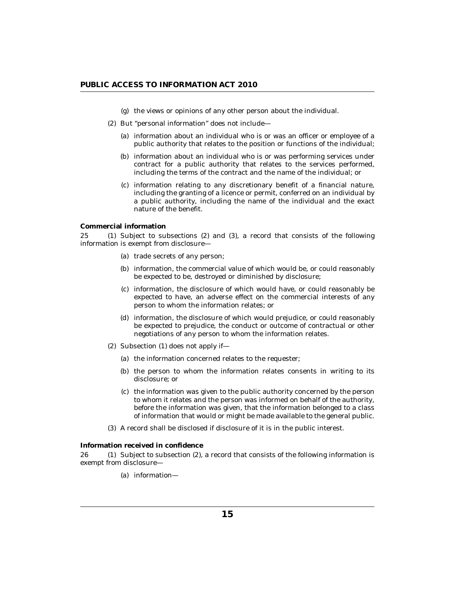- (g) the views or opinions of any other person about the individual.
- <span id="page-14-0"></span>(2) But "personal information" does not include-
	- (a) information about an individual who is or was an officer or employee of a public authority that relates to the position or functions of the individual;
	- (b) information about an individual who is or was performing services under contract for a public authority that relates to the services performed, including the terms of the contract and the name of the individual; or
	- information relating to any discretionary benefit of a financial nature, (c) including the granting of a licence or permit, conferred on an individual by a public authority, including the name of the individual and the exact nature of the benefit.

## **Commercial information**

25 (1) Subject to subsections (2) and (3), a record that consists of the following information is exempt from disclosure—

- (a) trade secrets of any person;
- (b) information, the commercial value of which would be, or could reasonably be expected to be, destroyed or diminished by disclosure;
- (c) information, the disclosure of which would have, or could reasonably be expected to have, an adverse effect on the commercial interests of any person to whom the information relates; or
- (d) information, the disclosure of which would prejudice, or could reasonably be expected to prejudice, the conduct or outcome of contractual or other negotiations of any person to whom the information relates.
- $(2)$  Subsection  $(1)$  does not apply if-
	- (a) the information concerned relates to the requester;
	- (b) the person to whom the information relates consents in writing to its disclosure; or
	- (c) the information was given to the public authority concerned by the person to whom it relates and the person was informed on behalf of the authority, before the information was given, that the information belonged to a class of information that would or might be made available to the general public.
- A record shall be disclosed if disclosure of it is in the public interest. (3)

**Information received in confidence**

 $26$  (1) Subject to subsection (2), a record that consists of the following information is exempt from disclosure—

(a) information-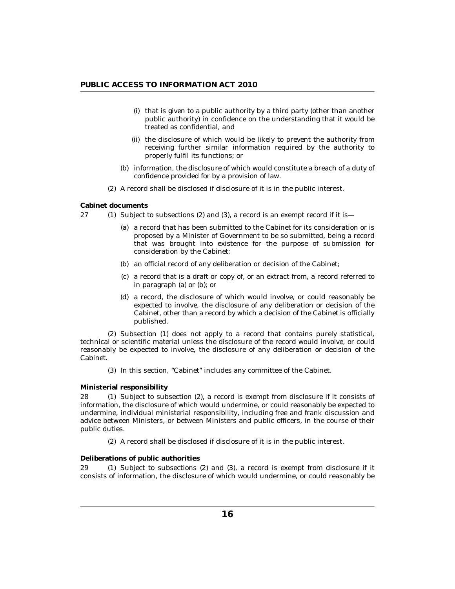- <span id="page-15-0"></span> $(i)$  that is given to a public authority by a third party (other than another public authority) in confidence on the understanding that it would be treated as confidential, and
- (ii) the disclosure of which would be likely to prevent the authority from receiving further similar information required by the authority to properly fulfil its functions; or
- (b) information, the disclosure of which would constitute a breach of a duty of confidence provided for by a provision of law.
- A record shall be disclosed if disclosure of it is in the public interest. (2)

# **Cabinet documents**

- 27 (1) Subject to subsections (2) and (3), a record is an exempt record if it is
	- (a) a record that has been submitted to the Cabinet for its consideration or is proposed by a Minister of Government to be so submitted, being a record that was brought into existence for the purpose of submission for consideration by the Cabinet;
	- (b) an official record of any deliberation or decision of the Cabinet;
	- a record that is a draft or copy of, or an extract from, a record referred to (c) in paragraph (a) or (b); or
	- (d) a record, the disclosure of which would involve, or could reasonably be expected to involve, the disclosure of any deliberation or decision of the Cabinet, other than a record by which a decision of the Cabinet is officially published.

(2) Subsection (1) does not apply to a record that contains purely statistical, technical or scientific material unless the disclosure of the record would involve, or could reasonably be expected to involve, the disclosure of any deliberation or decision of the Cabinet.

(3) In this section, "Cabinet" includes any committee of the Cabinet.

# **Ministerial responsibility**

 $(1)$  Subject to subsection  $(2)$ , a record is exempt from disclosure if it consists of information, the disclosure of which would undermine, or could reasonably be expected to undermine, individual ministerial responsibility, including free and frank discussion and advice between Ministers, or between Ministers and public officers, in the course of their public duties. 28

A record shall be disclosed if disclosure of it is in the public interest. (2)

# **Deliberations of public authorities**

29 (1) Subject to subsections (2) and (3), a record is exempt from disclosure if it consists of information, the disclosure of which would undermine, or could reasonably be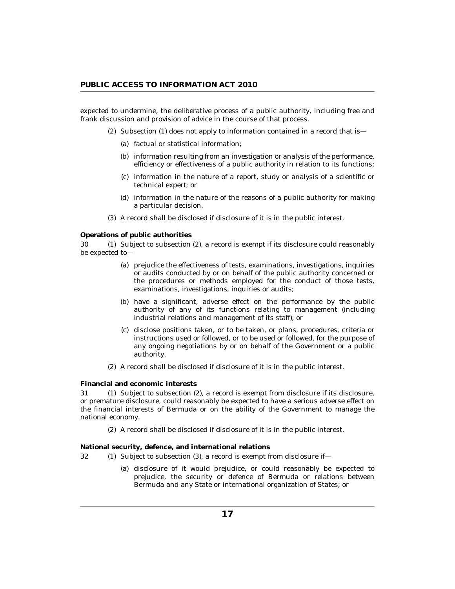<span id="page-16-0"></span>expected to undermine, the deliberative process of a public authority, including free and frank discussion and provision of advice in the course of that process.

- $(2)$  Subsection  $(1)$  does not apply to information contained in a record that is
	- (a) factual or statistical information;
	- (b) information resulting from an investigation or analysis of the performance, efficiency or effectiveness of a public authority in relation to its functions;
	- information in the nature of a report, study or analysis of a scientific or (c) technical expert; or
	- (d) information in the nature of the reasons of a public authority for making a particular decision.
- A record shall be disclosed if disclosure of it is in the public interest. (3)

**Operations of public authorities**

30 (1) Subject to subsection (2), a record is exempt if its disclosure could reasonably be expected to—

- (a) prejudice the effectiveness of tests, examinations, investigations, inquiries or audits conducted by or on behalf of the public authority concerned or the procedures or methods employed for the conduct of those tests, examinations, investigations, inquiries or audits;
- (b) have a significant, adverse effect on the performance by the public authority of any of its functions relating to management (including industrial relations and management of its staff); or
- (c) disclose positions taken, or to be taken, or plans, procedures, criteria or instructions used or followed, or to be used or followed, for the purpose of any ongoing negotiations by or on behalf of the Government or a public authority.
- A record shall be disclosed if disclosure of it is in the public interest. (2)

**Financial and economic interests**

31 (1) Subject to subsection (2), a record is exempt from disclosure if its disclosure, or premature disclosure, could reasonably be expected to have a serious adverse effect on the financial interests of Bermuda or on the ability of the Government to manage the national economy.

A record shall be disclosed if disclosure of it is in the public interest. (2)

**National security, defence, and international relations**

32 (1) Subject to subsection (3), a record is exempt from disclosure if-

(a) disclosure of it would prejudice, or could reasonably be expected to prejudice, the security or defence of Bermuda or relations between Bermuda and any State or international organization of States; or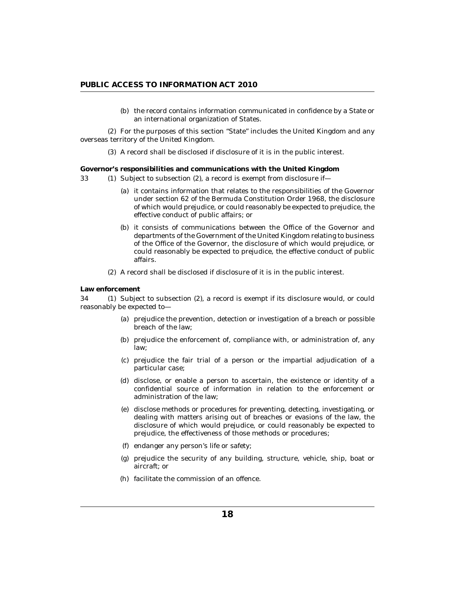(b) the record contains information communicated in confidence by a State or an international organization of States.

<span id="page-17-0"></span>For the purposes of this section "State" includes the United Kingdom and any (2) overseas territory of the United Kingdom.

A record shall be disclosed if disclosure of it is in the public interest. (3)

**Governor's responsibilities and communications with the United Kingdom**

- (1) Subject to subsection (2), a record is exempt from disclosure if-33
	- (a) it contains information that relates to the responsibilities of the Governor under section 62 of the Bermuda Constitution Order 1968, the disclosure of which would prejudice, or could reasonably be expected to prejudice, the effective conduct of public affairs; or
	- (b) it consists of communications between the Office of the Governor and departments of the Government of the United Kingdom relating to business of the Office of the Governor, the disclosure of which would prejudice, or could reasonably be expected to prejudice, the effective conduct of public affairs.
	- A record shall be disclosed if disclosure of it is in the public interest. (2)

### **Law enforcement**

34 (1) Subject to subsection (2), a record is exempt if its disclosure would, or could reasonably be expected to—

- (a) prejudice the prevention, detection or investigation of a breach or possible breach of the law;
- (b) prejudice the enforcement of, compliance with, or administration of, any law;
- (c) prejudice the fair trial of a person or the impartial adjudication of a particular case;
- (d) disclose, or enable a person to ascertain, the existence or identity of a confidential source of information in relation to the enforcement or administration of the law;
- (e) disclose methods or procedures for preventing, detecting, investigating, or dealing with matters arising out of breaches or evasions of the law, the disclosure of which would prejudice, or could reasonably be expected to prejudice, the effectiveness of those methods or procedures;
- endanger any person's life or safety; (f)
- (g) prejudice the security of any building, structure, vehicle, ship, boat or aircraft; or
- (h) facilitate the commission of an offence.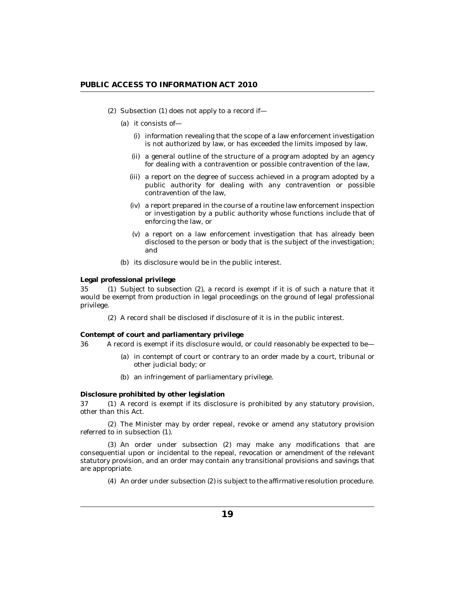- <span id="page-18-0"></span> $(2)$  Subsection  $(1)$  does not apply to a record if-
	- (a) it consists of—
		- (i) information revealing that the scope of a law enforcement investigation is not authorized by law, or has exceeded the limits imposed by law,
		- (ii) a general outline of the structure of a program adopted by an agency for dealing with a contravention or possible contravention of the law,
		- (iii) a report on the degree of success achieved in a program adopted by a public authority for dealing with any contravention or possible contravention of the law,
		- (iv) a report prepared in the course of a routine law enforcement inspection or investigation by a public authority whose functions include that of enforcing the law, or
		- a report on a law enforcement investigation that has already been (v) disclosed to the person or body that is the subject of the investigation; and
	- (b) its disclosure would be in the public interest.

**Legal professional privilege**

 $35$  (1) Subject to subsection  $(2)$ , a record is exempt if it is of such a nature that it would be exempt from production in legal proceedings on the ground of legal professional privilege.

A record shall be disclosed if disclosure of it is in the public interest. (2)

**Contempt of court and parliamentary privilege**

A record is exempt if its disclosure would, or could reasonably be expected to be— 36

- (a) in contempt of court or contrary to an order made by a court, tribunal or other judicial body; or
- (b) an infringement of parliamentary privilege.

**Disclosure prohibited by other legislation**

37 (1) A record is exempt if its disclosure is prohibited by any statutory provision, other than this Act.

The Minister may by order repeal, revoke or amend any statutory provision (2) referred to in subsection (1).

(3) An order under subsection (2) may make any modifications that are consequential upon or incidental to the repeal, revocation or amendment of the relevant statutory provision, and an order may contain any transitional provisions and savings that are appropriate.

An order under subsection (2) is subject to the affirmative resolution procedure. (4)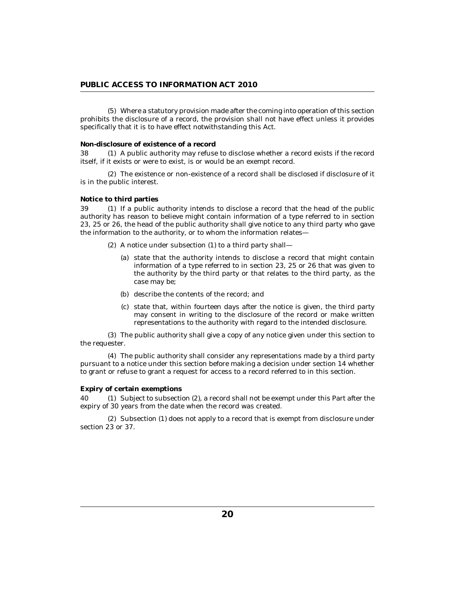<span id="page-19-0"></span>Where a statutory provision made after the coming into operation of this section (5) prohibits the disclosure of a record, the provision shall not have effect unless it provides specifically that it is to have effect notwithstanding this Act.

### **Non-disclosure of existence of a record**

38 (1) A public authority may refuse to disclose whether a record exists if the record itself, if it exists or were to exist, is or would be an exempt record.

The existence or non-existence of a record shall be disclosed if disclosure of it (2) is in the public interest.

#### **Notice to third parties**

39 (1) If a public authority intends to disclose a record that the head of the public authority has reason to believe might contain information of a type referred to in section 23, 25 or 26, the head of the public authority shall give notice to any third party who gave the information to the authority, or to whom the information relates—

- (2) A notice under subsection (1) to a third party shall—
	- (a) state that the authority intends to disclose a record that might contain information of a type referred to in section 23, 25 or 26 that was given to the authority by the third party or that relates to the third party, as the case may be;
	- (b) describe the contents of the record; and
	- (c) state that, within fourteen days after the notice is given, the third party may consent in writing to the disclosure of the record or make written representations to the authority with regard to the intended disclosure.

The public authority shall give a copy of any notice given under this section to (3) the requester.

The public authority shall consider any representations made by a third party (4) pursuant to a notice under this section before making a decision under section 14 whether to grant or refuse to grant a request for access to a record referred to in this section.

#### **Expiry of certain exemptions**

Subject to subsection (2), a record shall not be exempt under this Part after the expiry of 30 years from the date when the record was created. 40

(2) Subsection (1) does not apply to a record that is exempt from disclosure under section 23 or 37.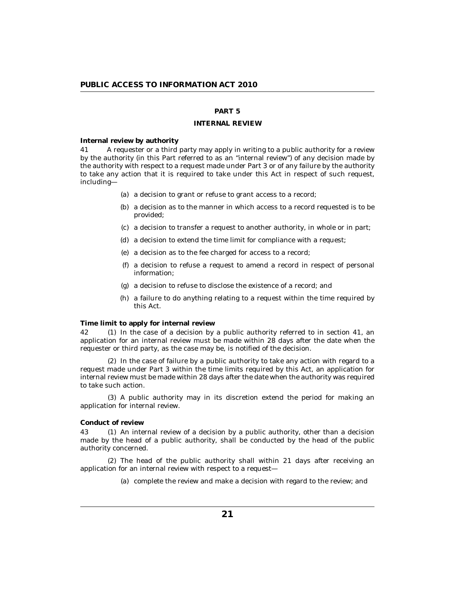# **PART 5**

## **INTERNAL REVIEW**

<span id="page-20-0"></span>**Internal review by authority**

A requester or a third party may apply in writing to a public authority for a review by the authority (in this Part referred to as an "internal review") of any decision made by the authority with respect to a request made under Part 3 or of any failure by the authority to take any action that it is required to take under this Act in respect of such request, including— 41

- (a) a decision to grant or refuse to grant access to a record;
- (b) a decision as to the manner in which access to a record requested is to be provided;
- a decision to transfer a request to another authority, in whole or in part; (c)
- (d) a decision to extend the time limit for compliance with a request;
- a decision as to the fee charged for access to a record; (e)
- a decision to refuse a request to amend a record in respect of personal (f) information;
- a decision to refuse to disclose the existence of a record; and (g)
- (h) a failure to do anything relating to a request within the time required by this Act.

**Time limit to apply for internal review**

42 (1) In the case of a decision by a public authority referred to in section 41, an application for an internal review must be made within 28 days after the date when the requester or third party, as the case may be, is notified of the decision.

 $(2)$  In the case of failure by a public authority to take any action with regard to a request made under Part 3 within the time limits required by this Act, an application for internal review must be made within 28 days after the date when the authority was required to take such action.

A public authority may in its discretion extend the period for making an (3) application for internal review.

### **Conduct of review**

43 (1) An internal review of a decision by a public authority, other than a decision made by the head of a public authority, shall be conducted by the head of the public authority concerned.

The head of the public authority shall within 21 days after receiving an (2) application for an internal review with respect to a request—

(a) complete the review and make a decision with regard to the review; and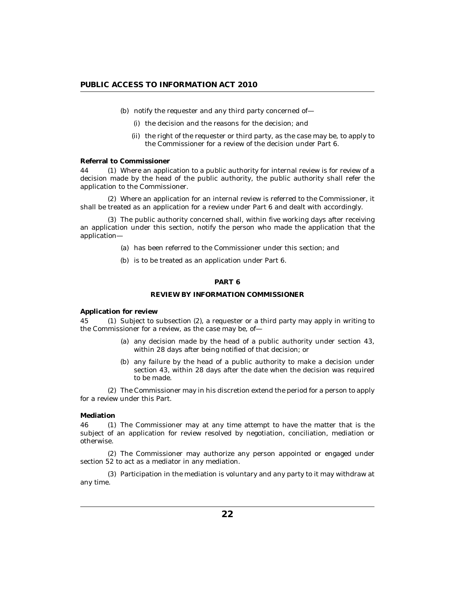- <span id="page-21-0"></span>(b) notify the requester and any third party concerned of—
	- (i) the decision and the reasons for the decision; and
	- (ii) the right of the requester or third party, as the case may be, to apply to the Commissioner for a review of the decision under Part 6.

#### **Referral to Commissioner**

Where an application to a public authority for internal review is for review of a 44 (1) decision made by the head of the public authority, the public authority shall refer the application to the Commissioner.

Where an application for an internal review is referred to the Commissioner, it (2) shall be treated as an application for a review under Part 6 and dealt with accordingly.

The public authority concerned shall, within five working days after receiving (3) an application under this section, notify the person who made the application that the application—

- has been referred to the Commissioner under this section; and (a)
- (b) is to be treated as an application under Part 6.

# **PART 6**

## **REVIEW BY INFORMATION COMMISSIONER**

**Application for review**

45 (1) Subject to subsection (2), a requester or a third party may apply in writing to the Commissioner for a review, as the case may be, of—

- (a) any decision made by the head of a public authority under section 43, within 28 days after being notified of that decision; or
- (b) any failure by the head of a public authority to make a decision under section 43, within 28 days after the date when the decision was required to be made.

The Commissioner may in his discretion extend the period for a person to apply (2) for a review under this Part.

#### **Mediation**

46 (1) The Commissioner may at any time attempt to have the matter that is the subject of an application for review resolved by negotiation, conciliation, mediation or otherwise.

The Commissioner may authorize any person appointed or engaged under (2) section 52 to act as a mediator in any mediation.

Participation in the mediation is voluntary and any party to it may withdraw at (3) any time.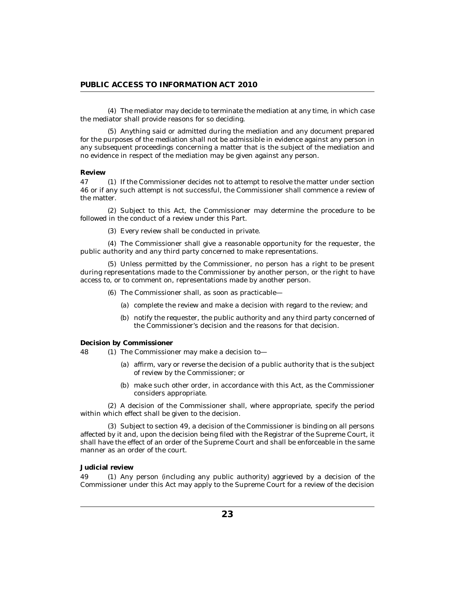<span id="page-22-0"></span>The mediator may decide to terminate the mediation at any time, in which case (4) the mediator shall provide reasons for so deciding.

Anything said or admitted during the mediation and any document prepared (5) for the purposes of the mediation shall not be admissible in evidence against any person in any subsequent proceedings concerning a matter that is the subject of the mediation and no evidence in respect of the mediation may be given against any person.

#### **Review**

If the Commissioner decides not to attempt to resolve the matter under section 47 (1) 46 or if any such attempt is not successful, the Commissioner shall commence a review of the matter.

(2) Subject to this Act, the Commissioner may determine the procedure to be followed in the conduct of a review under this Part.

Every review shall be conducted in private. (3)

The Commissioner shall give a reasonable opportunity for the requester, the (4) public authority and any third party concerned to make representations.

Unless permitted by the Commissioner, no person has a right to be present (5) during representations made to the Commissioner by another person, or the right to have access to, or to comment on, representations made by another person.

The Commissioner shall, as soon as practicable— (6)

- (a) complete the review and make a decision with regard to the review; and
- (b) notify the requester, the public authority and any third party concerned of the Commissioner's decision and the reasons for that decision.

**Decision by Commissioner**

48 (1) The Commissioner may make a decision to—

- (a) affirm, vary or reverse the decision of a public authority that is the subject of review by the Commissioner; or
- (b) make such other order, in accordance with this Act, as the Commissioner considers appropriate.

A decision of the Commissioner shall, where appropriate, specify the period (2) within which effect shall be given to the decision.

(3) Subject to section 49, a decision of the Commissioner is binding on all persons affected by it and, upon the decision being filed with the Registrar of the Supreme Court, it shall have the effect of an order of the Supreme Court and shall be enforceable in the same manner as an order of the court.

# **Judicial review**

 $(1)$  Any person (including any public authority) aggrieved by a decision of the Commissioner under this Act may apply to the Supreme Court for a review of the decision 49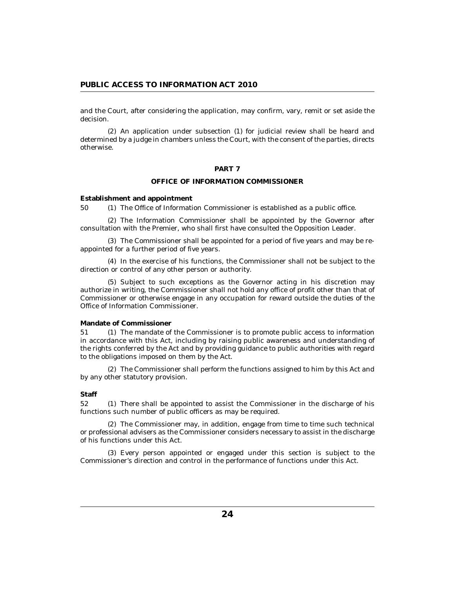<span id="page-23-0"></span>and the Court, after considering the application, may confirm, vary, remit or set aside the decision.

An application under subsection (1) for judicial review shall be heard and (2) determined by a judge in chambers unless the Court, with the consent of the parties, directs otherwise.

#### **PART 7**

# **OFFICE OF INFORMATION COMMISSIONER**

**Establishment and appointment**

50 (1) The Office of Information Commissioner is established as a public office.

(2) The Information Commissioner shall be appointed by the Governor after consultation with the Premier, who shall first have consulted the Opposition Leader.

The Commissioner shall be appointed for a period of five years and may be re-(3) appointed for a further period of five years.

(4) In the exercise of his functions, the Commissioner shall not be subject to the direction or control of any other person or authority.

(5) Subject to such exceptions as the Governor acting in his discretion may authorize in writing, the Commissioner shall not hold any office of profit other than that of Commissioner or otherwise engage in any occupation for reward outside the duties of the Office of Information Commissioner.

### **Mandate of Commissioner**

51 (1) The mandate of the Commissioner is to promote public access to information in accordance with this Act, including by raising public awareness and understanding of the rights conferred by the Act and by providing guidance to public authorities with regard to the obligations imposed on them by the Act.

The Commissioner shall perform the functions assigned to him by this Act and (2) by any other statutory provision.

#### **Staff**

52 (1) There shall be appointed to assist the Commissioner in the discharge of his functions such number of public officers as may be required.

The Commissioner may, in addition, engage from time to time such technical (2) or professional advisers as the Commissioner considers necessary to assist in the discharge of his functions under this Act.

Every person appointed or engaged under this section is subject to the (3) Commissioner's direction and control in the performance of functions under this Act.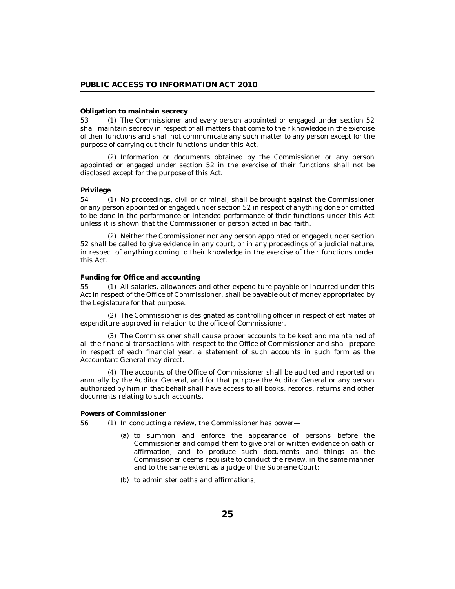#### <span id="page-24-0"></span>**Obligation to maintain secrecy**

53 (1) The Commissioner and every person appointed or engaged under section 52 shall maintain secrecy in respect of all matters that come to their knowledge in the exercise of their functions and shall not communicate any such matter to any person except for the purpose of carrying out their functions under this Act.

(2) Information or documents obtained by the Commissioner or any person appointed or engaged under section 52 in the exercise of their functions shall not be disclosed except for the purpose of this Act.

#### **Privilege**

54 (1) No proceedings, civil or criminal, shall be brought against the Commissioner or any person appointed or engaged under section 52 in respect of anything done or omitted to be done in the performance or intended performance of their functions under this Act unless it is shown that the Commissioner or person acted in bad faith.

(2) Neither the Commissioner nor any person appointed or engaged under section 52 shall be called to give evidence in any court, or in any proceedings of a judicial nature, in respect of anything coming to their knowledge in the exercise of their functions under this Act.

# **Funding for Office and accounting**

All salaries, allowances and other expenditure payable or incurred under this Act in respect of the Office of Commissioner, shall be payable out of money appropriated by the Legislature for that purpose. 55

The Commissioner is designated as controlling officer in respect of estimates of (2) expenditure approved in relation to the office of Commissioner.

The Commissioner shall cause proper accounts to be kept and maintained of (3) all the financial transactions with respect to the Office of Commissioner and shall prepare in respect of each financial year, a statement of such accounts in such form as the Accountant General may direct.

The accounts of the Office of Commissioner shall be audited and reported on (4) annually by the Auditor General, and for that purpose the Auditor General or any person authorized by him in that behalf shall have access to all books, records, returns and other documents relating to such accounts.

#### **Powers of Commissioner**

- 56 (1) In conducting a review, the Commissioner has power—
	- (a) to summon and enforce the appearance of persons before the Commissioner and compel them to give oral or written evidence on oath or affirmation, and to produce such documents and things as the Commissioner deems requisite to conduct the review, in the same manner and to the same extent as a judge of the Supreme Court;
	- (b) to administer oaths and affirmations;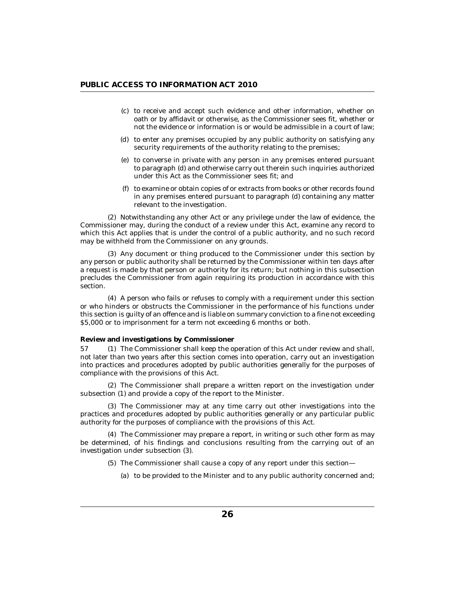- <span id="page-25-0"></span>(c) to receive and accept such evidence and other information, whether on oath or by affidavit or otherwise, as the Commissioner sees fit, whether or not the evidence or information is or would be admissible in a court of law;
- (d) to enter any premises occupied by any public authority on satisfying any security requirements of the authority relating to the premises;
- (e) to converse in private with any person in any premises entered pursuant to paragraph (d) and otherwise carry out therein such inquiries authorized under this Act as the Commissioner sees fit; and
- to examine or obtain copies of or extracts from books or other records found (f) in any premises entered pursuant to paragraph (d) containing any matter relevant to the investigation.

(2) Notwithstanding any other Act or any privilege under the law of evidence, the Commissioner may, during the conduct of a review under this Act, examine any record to which this Act applies that is under the control of a public authority, and no such record may be withheld from the Commissioner on any grounds.

(3) Any document or thing produced to the Commissioner under this section by any person or public authority shall be returned by the Commissioner within ten days after a request is made by that person or authority for its return; but nothing in this subsection precludes the Commissioner from again requiring its production in accordance with this section.

A person who fails or refuses to comply with a requirement under this section (4) or who hinders or obstructs the Commissioner in the performance of his functions under this section is guilty of an offence and is liable on summary conviction to a fine not exceeding \$5,000 or to imprisonment for a term not exceeding 6 months or both.

**Review and investigations by Commissioner**

The Commissioner shall keep the operation of this Act under review and shall, not later than two years after this section comes into operation, carry out an investigation into practices and procedures adopted by public authorities generally for the purposes of compliance with the provisions of this Act. 57

The Commissioner shall prepare a written report on the investigation under (2) subsection (1) and provide a copy of the report to the Minister.

(3) The Commissioner may at any time carry out other investigations into the practices and procedures adopted by public authorities generally or any particular public authority for the purposes of compliance with the provisions of this Act.

The Commissioner may prepare a report, in writing or such other form as may (4) be determined, of his findings and conclusions resulting from the carrying out of an investigation under subsection (3).

- The Commissioner shall cause a copy of any report under this section— (5)
	- (a) to be provided to the Minister and to any public authority concerned and;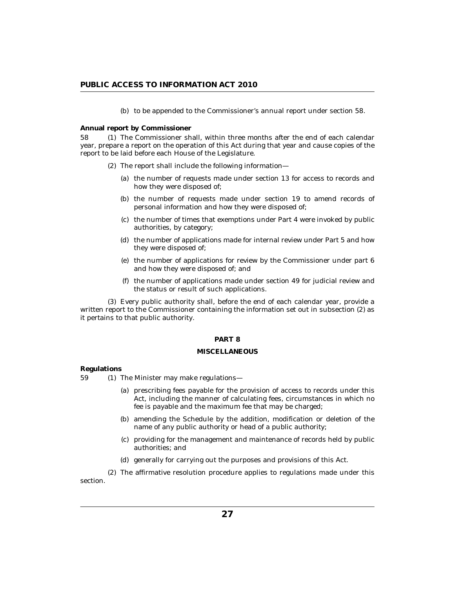(b) to be appended to the Commissioner's annual report under section 58.

<span id="page-26-0"></span>**Annual report by Commissioner**

The Commissioner shall, within three months after the end of each calendar year, prepare a report on the operation of this Act during that year and cause copies of the report to be laid before each House of the Legislature. 58

- (2) The report shall include the following information-
	- (a) the number of requests made under section 13 for access to records and how they were disposed of;
	- (b) the number of requests made under section 19 to amend records of personal information and how they were disposed of;
	- (c) the number of times that exemptions under Part 4 were invoked by public authorities, by category;
	- (d) the number of applications made for internal review under Part 5 and how they were disposed of;
	- $(e)$  the number of applications for review by the Commissioner under part  $6$ and how they were disposed of; and
	- the number of applications made under section 49 for judicial review and (f) the status or result of such applications.

Every public authority shall, before the end of each calendar year, provide a (3) written report to the Commissioner containing the information set out in subsection (2) as it pertains to that public authority.

### **PART 8**

# **MISCELLANEOUS**

#### **Regulations**

 $(1)$  The Minister may make regulations— 59

- (a) prescribing fees payable for the provision of access to records under this Act, including the manner of calculating fees, circumstances in which no fee is payable and the maximum fee that may be charged;
- (b) amending the Schedule by the addition, modification or deletion of the name of any public authority or head of a public authority;
- providing for the management and maintenance of records held by public (c) authorities; and
- generally for carrying out the purposes and provisions of this Act. (d)

The affirmative resolution procedure applies to regulations made under this (2) section.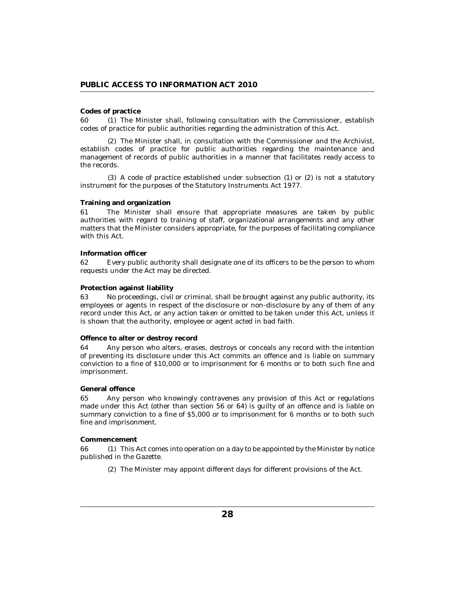## <span id="page-27-0"></span>**Codes of practice**

60 (1) The Minister shall, following consultation with the Commissioner, establish codes of practice for public authorities regarding the administration of this Act.

The Minister shall, in consultation with the Commissioner and the Archivist, (2) establish codes of practice for public authorities regarding the maintenance and management of records of public authorities in a manner that facilitates ready access to the records.

 $(3)$  A code of practice established under subsection  $(1)$  or  $(2)$  is not a statutory instrument for the purposes of the Statutory Instruments Act 1977.

### **Training and organization**

The Minister shall ensure that appropriate measures are taken by public authorities with regard to training of staff, organizational arrangements and any other matters that the Minister considers appropriate, for the purposes of facilitating compliance with this Act. 61

#### **Information officer**

Every public authority shall designate one of its officers to be the person to whom requests under the Act may be directed. 62

#### **Protection against liability**

No proceedings, civil or criminal, shall be brought against any public authority, its employees or agents in respect of the disclosure or non-disclosure by any of them of any record under this Act, or any action taken or omitted to be taken under this Act, unless it is shown that the authority, employee or agent acted in bad faith. 63

### **Offence to alter or destroy record**

Any person who alters, erases, destroys or conceals any record with the intention of preventing its disclosure under this Act commits an offence and is liable on summary conviction to a fine of \$10,000 or to imprisonment for 6 months or to both such fine and imprisonment. 64

#### **General offence**

Any person who knowingly contravenes any provision of this Act or regulations made under this Act (other than section 56 or 64) is guilty of an offence and is liable on summary conviction to a fine of \$5,000 or to imprisonment for 6 months or to both such fine and imprisonment. 65

#### **Commencement**

66 (1) This Act comes into operation on a day to be appointed by the Minister by notice published in the Gazette.

(2) The Minister may appoint different days for different provisions of the Act.